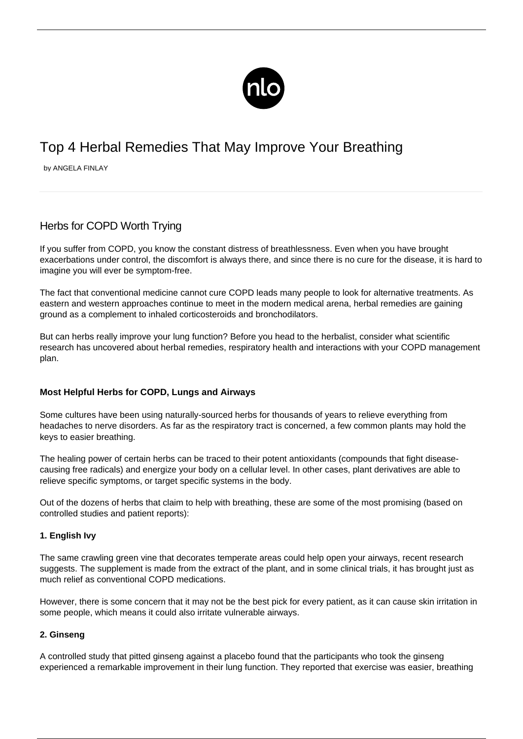

# Top 4 Herbal Remedies That May Improve Your Breathing

by ANGELA FINLAY

# Herbs for COPD Worth Trying

If you suffer from COPD, you know the constant distress of breathlessness. Even when you have brought exacerbations under control, the discomfort is always there, and since there is no cure for the disease, it is hard to imagine you will ever be symptom-free.

The fact that conventional medicine cannot cure COPD leads many people to look for alternative treatments. As eastern and western approaches continue to meet in the modern medical arena, herbal remedies are gaining ground as a complement to inhaled corticosteroids and bronchodilators.

But can herbs really improve your lung function? Before you head to the herbalist, consider what [scientific](/recent-copd-research-findings/) [research](/recent-copd-research-findings/) has uncovered about herbal remedies, respiratory health and interactions with your COPD management plan.

## **Most Helpful Herbs for COPD, Lungs and Airways**

Some cultures have been using naturally-sourced herbs for thousands of years to relieve everything from headaches to nerve disorders. As far as the respiratory tract is concerned, a few common plants may hold the keys to easier breathing.

The healing power of certain herbs can be traced to their potent antioxidants (compounds that fight diseasecausing free radicals) and energize your body on a cellular level. In other cases, plant derivatives are able to relieve specific symptoms, or target specific systems in the body.

Out of the dozens of herbs that claim to help with breathing, these are some of the most promising (based on controlled studies and patient reports):

#### **1. English Ivy**

The same crawling green vine that decorates temperate areas could help open your airways, recent research suggests. The supplement is made from the extract of the plant, and in some clinical trials, it has brought just as much relief as conventional [COPD medications](/medications-and-copd/).

However, there is some concern that it may not be the best pick for every patient, as it can cause skin irritation in some people, which means it could also irritate vulnerable airways.

#### **2. Ginseng**

A controlled study that pitted ginseng against a placebo found that the participants who took the ginseng experienced a remarkable improvement in their lung function. They reported that exercise was easier, breathing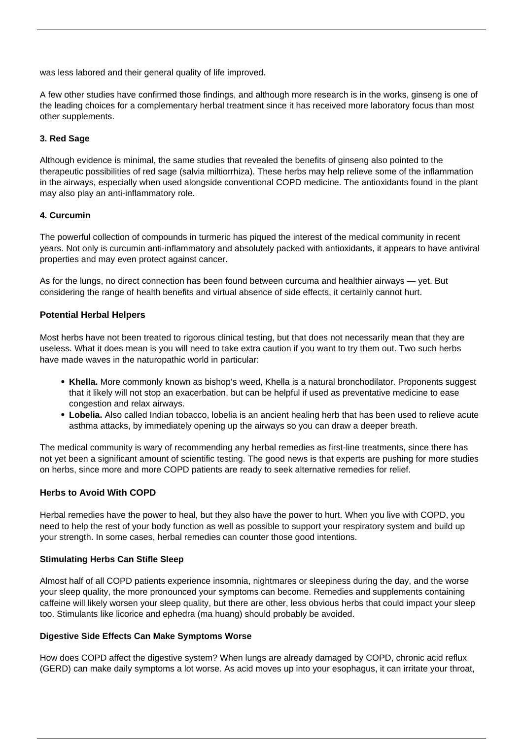was less labored and their general quality of life improved.

A few other studies have confirmed those findings, and although more research is in the works, ginseng is one of the leading choices for a complementary herbal treatment since it has received more laboratory focus than most other supplements.

#### **3. Red Sage**

Although evidence is minimal, the same studies that revealed the benefits of ginseng also pointed to the therapeutic possibilities of red sage (salvia miltiorrhiza). These herbs may help relieve some of the inflammation in the airways, especially when used alongside conventional COPD medicine. The antioxidants found in the plant may also play an anti-inflammatory role.

#### **4. Curcumin**

The powerful collection of compounds in turmeric has piqued the interest of the medical community in recent years. Not only is curcumin anti-inflammatory and absolutely packed with antioxidants, it appears to have antiviral properties and may even protect against cancer.

As for the lungs, no direct connection has been found between curcuma and healthier airways — yet. But considering the range of health benefits and virtual absence of side effects, it certainly cannot hurt.

#### **Potential Herbal Helpers**

Most herbs have not been treated to rigorous clinical testing, but that does not necessarily mean that they are useless. What it does mean is you will need to take extra caution if you want to try them out. Two such herbs have made waves in the naturopathic world in particular:

- **Khella.** More commonly known as bishop's weed, Khella is a natural bronchodilator. Proponents suggest that it likely will not stop an exacerbation, but can be helpful if used as preventative medicine to ease congestion and relax airways.
- **Lobelia.** Also called Indian tobacco, lobelia is an ancient healing herb that has been used to relieve acute asthma attacks, by immediately opening up the airways so you can draw a deeper breath.

The medical community is wary of recommending any herbal remedies as first-line treatments, since there has not yet been a significant amount of scientific testing. The good news is that experts are pushing for more studies on herbs, since more and more COPD patients are ready to seek alternative remedies for relief.

## **Herbs to Avoid With COPD**

Herbal remedies have the power to heal, but they also have the power to hurt. When you live with COPD, you need to help the rest of your body function as well as possible to support your respiratory system and build up your strength. In some cases, herbal remedies can counter those good intentions.

#### **Stimulating Herbs Can Stifle Sleep**

Almost half of all COPD patients experience insomnia, nightmares or sleepiness during the day, and the worse your sleep quality, the more pronounced your symptoms can become. Remedies and supplements containing caffeine will likely worsen your sleep quality, but there are other, less obvious herbs that could impact your sleep too. Stimulants like licorice and ephedra (ma huang) should probably be avoided.

#### **Digestive Side Effects Can Make Symptoms Worse**

How does [COPD affect the digestive system](/copd-and-gerd/)? When lungs are already damaged by COPD, chronic acid reflux (GERD) can make daily symptoms a lot worse. As acid moves up into your esophagus, it can irritate your throat,